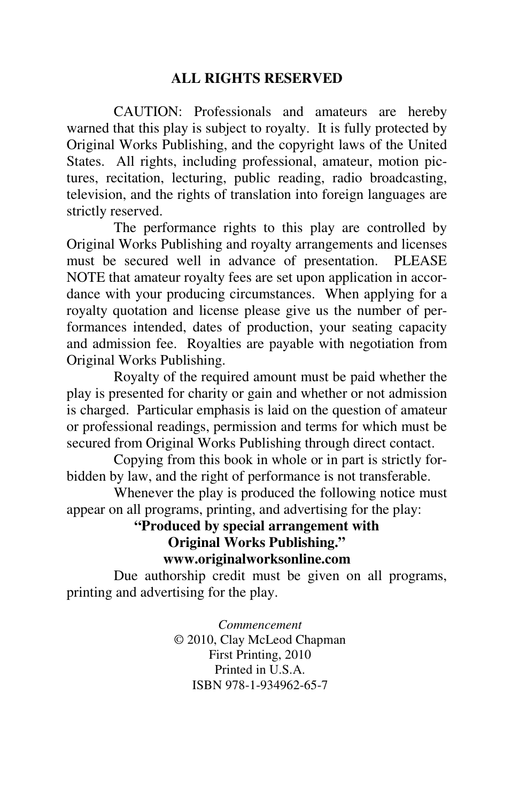### **ALL RIGHTS RESERVED**

 CAUTION: Professionals and amateurs are hereby warned that this play is subject to royalty. It is fully protected by Original Works Publishing, and the copyright laws of the United States. All rights, including professional, amateur, motion pictures, recitation, lecturing, public reading, radio broadcasting, television, and the rights of translation into foreign languages are strictly reserved.

 The performance rights to this play are controlled by Original Works Publishing and royalty arrangements and licenses must be secured well in advance of presentation. PLEASE NOTE that amateur royalty fees are set upon application in accordance with your producing circumstances. When applying for a royalty quotation and license please give us the number of performances intended, dates of production, your seating capacity and admission fee. Royalties are payable with negotiation from Original Works Publishing.

 Royalty of the required amount must be paid whether the play is presented for charity or gain and whether or not admission is charged. Particular emphasis is laid on the question of amateur or professional readings, permission and terms for which must be secured from Original Works Publishing through direct contact.

 Copying from this book in whole or in part is strictly forbidden by law, and the right of performance is not transferable.

Whenever the play is produced the following notice must appear on all programs, printing, and advertising for the play:

> **"Produced by special arrangement with Original Works Publishing." www.originalworksonline.com**

 Due authorship credit must be given on all programs, printing and advertising for the play.

> *Commencement*  © 2010, Clay McLeod Chapman First Printing, 2010 Printed in U.S.A. ISBN 978-1-934962-65-7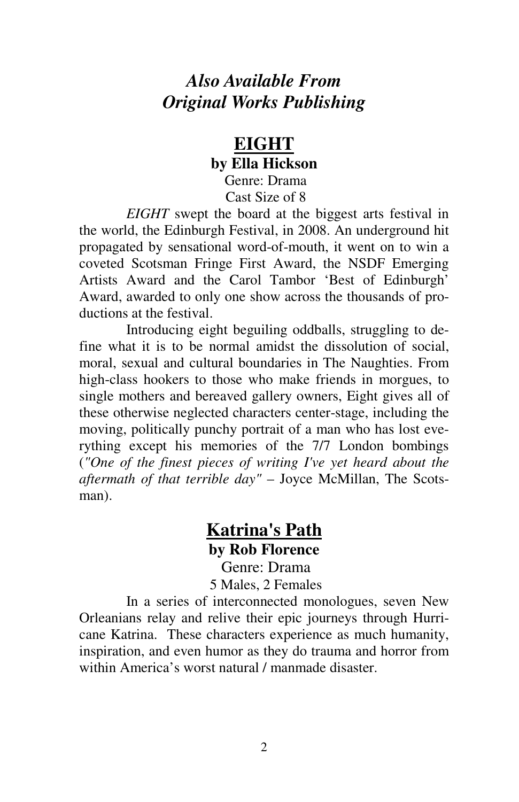### *Also Available From Original Works Publishing*

### **EIGHT by Ella Hickson**

Genre: Drama Cast Size of 8

*EIGHT* swept the board at the biggest arts festival in the world, the Edinburgh Festival, in 2008. An underground hit propagated by sensational word-of-mouth, it went on to win a coveted Scotsman Fringe First Award, the NSDF Emerging Artists Award and the Carol Tambor 'Best of Edinburgh' Award, awarded to only one show across the thousands of productions at the festival.

Introducing eight beguiling oddballs, struggling to define what it is to be normal amidst the dissolution of social, moral, sexual and cultural boundaries in The Naughties. From high-class hookers to those who make friends in morgues, to single mothers and bereaved gallery owners, Eight gives all of these otherwise neglected characters center-stage, including the moving, politically punchy portrait of a man who has lost everything except his memories of the 7/7 London bombings (*"One of the finest pieces of writing I've yet heard about the aftermath of that terrible day"* – Joyce McMillan, The Scotsman).

### **Katrina's Path**

### **by Rob Florence**

 Genre: Drama 5 Males, 2 Females

 In a series of interconnected monologues, seven New Orleanians relay and relive their epic journeys through Hurricane Katrina. These characters experience as much humanity, inspiration, and even humor as they do trauma and horror from within America's worst natural / manmade disaster.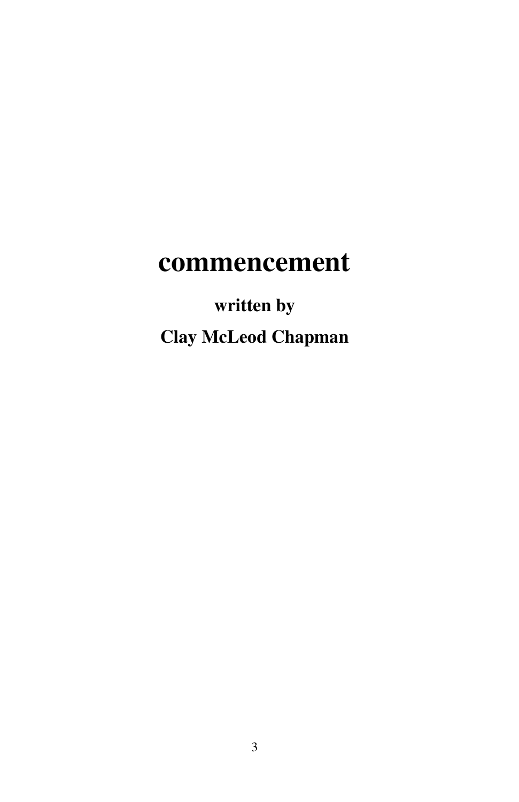# **commencement**

**written by Clay McLeod Chapman**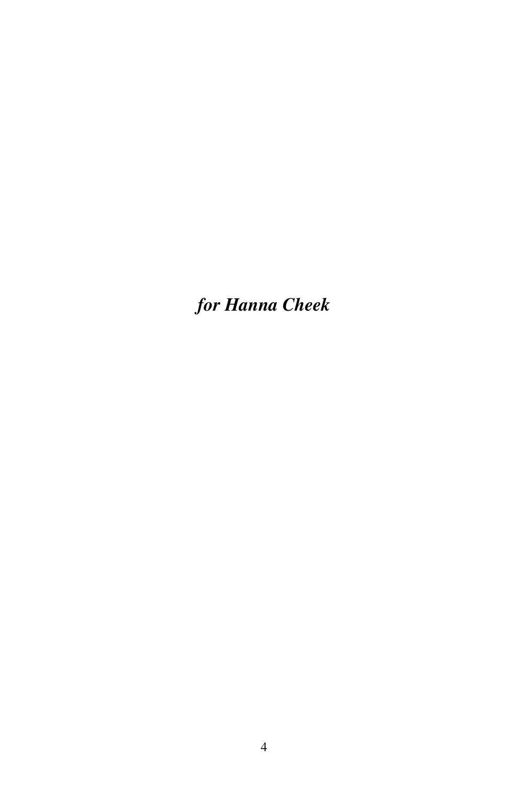*for Hanna Cheek*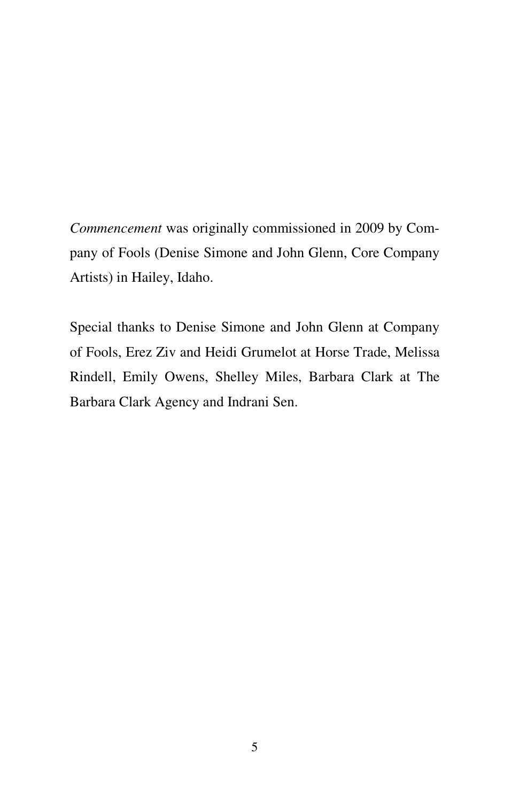*Commencement* was originally commissioned in 2009 by Company of Fools (Denise Simone and John Glenn, Core Company Artists) in Hailey, Idaho.

Special thanks to Denise Simone and John Glenn at Company of Fools, Erez Ziv and Heidi Grumelot at Horse Trade, Melissa Rindell, Emily Owens, Shelley Miles, Barbara Clark at The Barbara Clark Agency and Indrani Sen.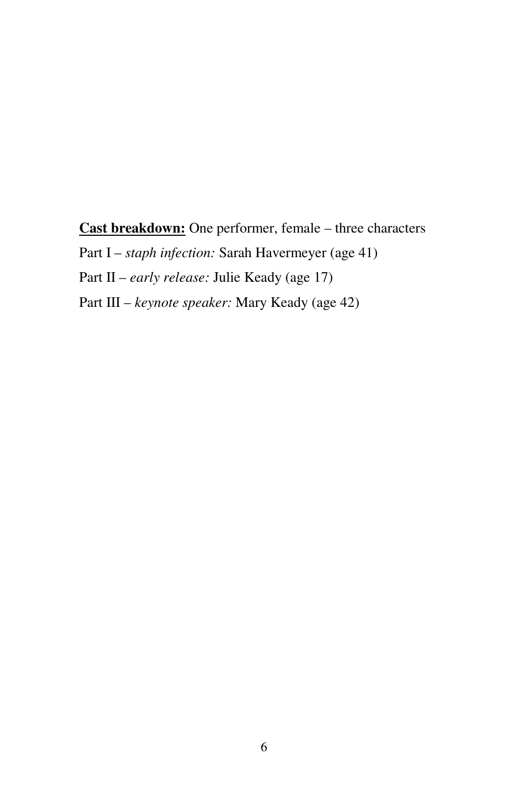**Cast breakdown:** One performer, female – three characters Part I – *staph infection:* Sarah Havermeyer (age 41) Part II – *early release:* Julie Keady (age 17) Part III – *keynote speaker:* Mary Keady (age 42)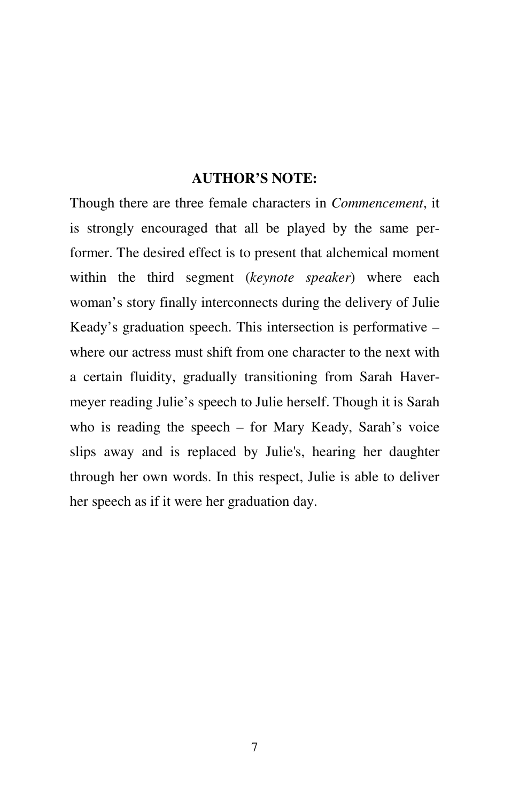#### **AUTHOR'S NOTE:**

Though there are three female characters in *Commencement*, it is strongly encouraged that all be played by the same performer. The desired effect is to present that alchemical moment within the third segment (*keynote speaker*) where each woman's story finally interconnects during the delivery of Julie Keady's graduation speech. This intersection is performative – where our actress must shift from one character to the next with a certain fluidity, gradually transitioning from Sarah Havermeyer reading Julie's speech to Julie herself. Though it is Sarah who is reading the speech – for Mary Keady, Sarah's voice slips away and is replaced by Julie's, hearing her daughter through her own words. In this respect, Julie is able to deliver her speech as if it were her graduation day.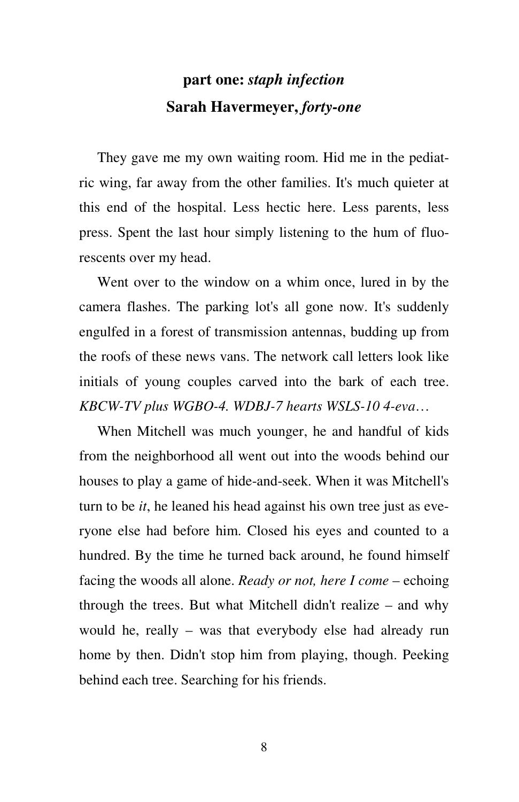## **part one:** *staph infection* **Sarah Havermeyer,** *forty-one*

 They gave me my own waiting room. Hid me in the pediatric wing, far away from the other families. It's much quieter at this end of the hospital. Less hectic here. Less parents, less press. Spent the last hour simply listening to the hum of fluorescents over my head.

 Went over to the window on a whim once, lured in by the camera flashes. The parking lot's all gone now. It's suddenly engulfed in a forest of transmission antennas, budding up from the roofs of these news vans. The network call letters look like initials of young couples carved into the bark of each tree. *KBCW-TV plus WGBO-4. WDBJ-7 hearts WSLS-10 4-eva*…

 When Mitchell was much younger, he and handful of kids from the neighborhood all went out into the woods behind our houses to play a game of hide-and-seek. When it was Mitchell's turn to be *it*, he leaned his head against his own tree just as everyone else had before him. Closed his eyes and counted to a hundred. By the time he turned back around, he found himself facing the woods all alone. *Ready or not, here I come* – echoing through the trees. But what Mitchell didn't realize – and why would he, really – was that everybody else had already run home by then. Didn't stop him from playing, though. Peeking behind each tree. Searching for his friends.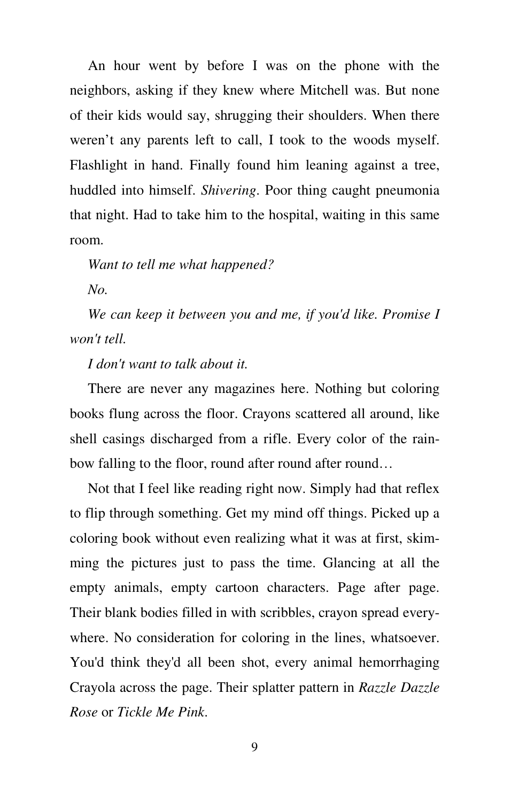An hour went by before I was on the phone with the neighbors, asking if they knew where Mitchell was. But none of their kids would say, shrugging their shoulders. When there weren't any parents left to call, I took to the woods myself. Flashlight in hand. Finally found him leaning against a tree, huddled into himself. *Shivering*. Poor thing caught pneumonia that night. Had to take him to the hospital, waiting in this same room.

 *Want to tell me what happened?* 

 *No.* 

 *We can keep it between you and me, if you'd like. Promise I won't tell.* 

 *I don't want to talk about it.* 

 There are never any magazines here. Nothing but coloring books flung across the floor. Crayons scattered all around, like shell casings discharged from a rifle. Every color of the rainbow falling to the floor, round after round after round...

 Not that I feel like reading right now. Simply had that reflex to flip through something. Get my mind off things. Picked up a coloring book without even realizing what it was at first, skimming the pictures just to pass the time. Glancing at all the empty animals, empty cartoon characters. Page after page. Their blank bodies filled in with scribbles, crayon spread everywhere. No consideration for coloring in the lines, whatsoever. You'd think they'd all been shot, every animal hemorrhaging Crayola across the page. Their splatter pattern in *Razzle Dazzle Rose* or *Tickle Me Pink*.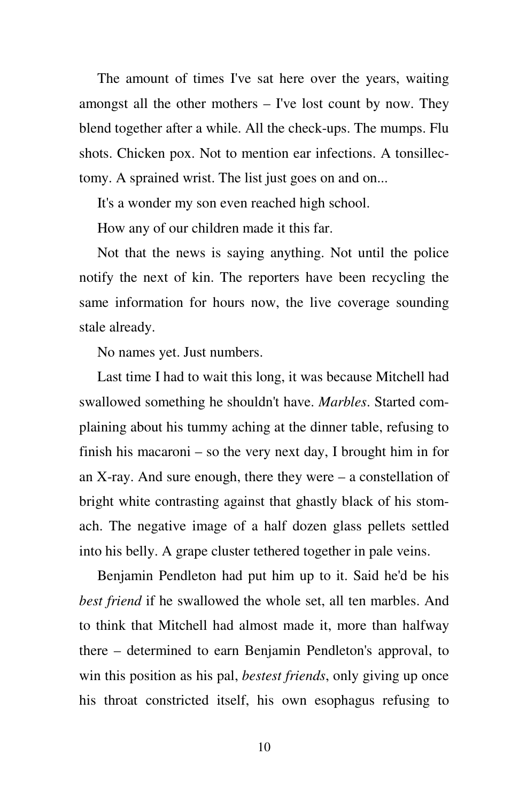The amount of times I've sat here over the years, waiting amongst all the other mothers – I've lost count by now. They blend together after a while. All the check-ups. The mumps. Flu shots. Chicken pox. Not to mention ear infections. A tonsillectomy. A sprained wrist. The list just goes on and on...

It's a wonder my son even reached high school.

How any of our children made it this far.

 Not that the news is saying anything. Not until the police notify the next of kin. The reporters have been recycling the same information for hours now, the live coverage sounding stale already.

No names yet. Just numbers.

 Last time I had to wait this long, it was because Mitchell had swallowed something he shouldn't have. *Marbles*. Started complaining about his tummy aching at the dinner table, refusing to finish his macaroni – so the very next day, I brought him in for an X-ray. And sure enough, there they were – a constellation of bright white contrasting against that ghastly black of his stomach. The negative image of a half dozen glass pellets settled into his belly. A grape cluster tethered together in pale veins.

 Benjamin Pendleton had put him up to it. Said he'd be his *best friend* if he swallowed the whole set, all ten marbles. And to think that Mitchell had almost made it, more than halfway there – determined to earn Benjamin Pendleton's approval, to win this position as his pal, *bestest friends*, only giving up once his throat constricted itself, his own esophagus refusing to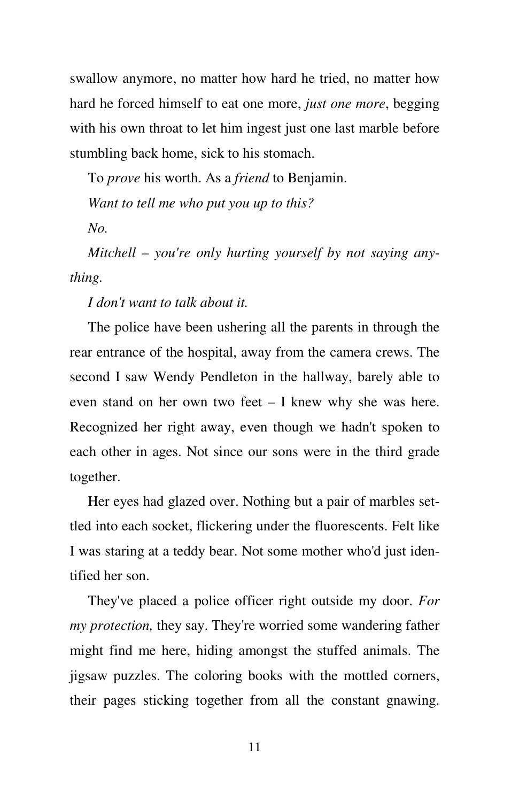swallow anymore, no matter how hard he tried, no matter how hard he forced himself to eat one more, *just one more*, begging with his own throat to let him ingest just one last marble before stumbling back home, sick to his stomach.

To *prove* his worth. As a *friend* to Benjamin.

 *Want to tell me who put you up to this?* 

 *No.* 

 *Mitchell – you're only hurting yourself by not saying anything.* 

 *I don't want to talk about it.*

 The police have been ushering all the parents in through the rear entrance of the hospital, away from the camera crews. The second I saw Wendy Pendleton in the hallway, barely able to even stand on her own two feet – I knew why she was here. Recognized her right away, even though we hadn't spoken to each other in ages. Not since our sons were in the third grade together.

 Her eyes had glazed over. Nothing but a pair of marbles settled into each socket, flickering under the fluorescents. Felt like I was staring at a teddy bear. Not some mother who'd just identified her son.

 They've placed a police officer right outside my door. *For my protection,* they say. They're worried some wandering father might find me here, hiding amongst the stuffed animals. The jigsaw puzzles. The coloring books with the mottled corners, their pages sticking together from all the constant gnawing.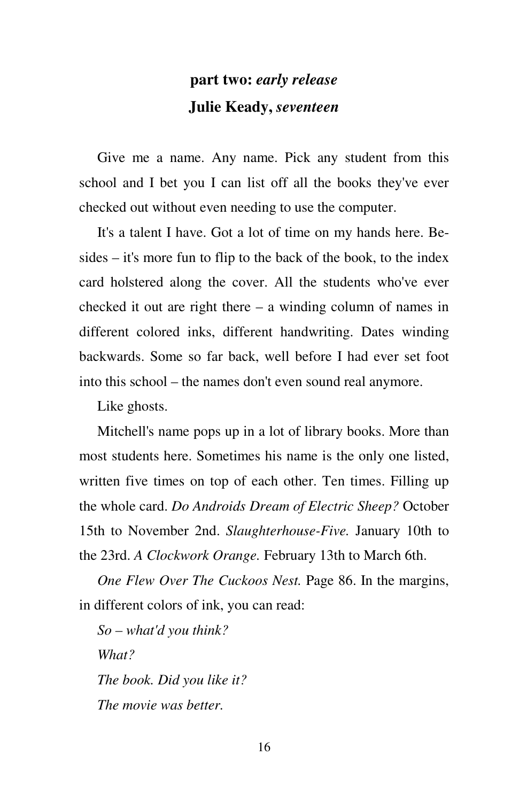## **part two:** *early release* **Julie Keady,** *seventeen*

 Give me a name. Any name. Pick any student from this school and I bet you I can list off all the books they've ever checked out without even needing to use the computer.

 It's a talent I have. Got a lot of time on my hands here. Besides – it's more fun to flip to the back of the book, to the index card holstered along the cover. All the students who've ever checked it out are right there – a winding column of names in different colored inks, different handwriting. Dates winding backwards. Some so far back, well before I had ever set foot into this school – the names don't even sound real anymore.

Like ghosts.

 Mitchell's name pops up in a lot of library books. More than most students here. Sometimes his name is the only one listed, written five times on top of each other. Ten times. Filling up the whole card. *Do Androids Dream of Electric Sheep?* October 15th to November 2nd. *Slaughterhouse-Five.* January 10th to the 23rd. *A Clockwork Orange.* February 13th to March 6th.

 *One Flew Over The Cuckoos Nest.* Page 86. In the margins, in different colors of ink, you can read:

 *So – what'd you think? What? The book. Did you like it? The movie was better.*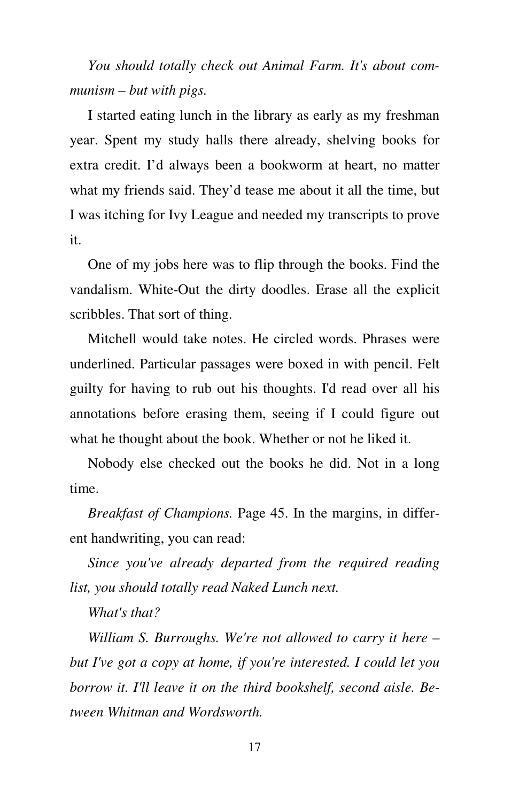*You should totally check out Animal Farm. It's about communism – but with pigs.*

 I started eating lunch in the library as early as my freshman year. Spent my study halls there already, shelving books for extra credit. I'd always been a bookworm at heart, no matter what my friends said. They'd tease me about it all the time, but I was itching for Ivy League and needed my transcripts to prove it.

 One of my jobs here was to flip through the books. Find the vandalism. White-Out the dirty doodles. Erase all the explicit scribbles. That sort of thing.

 Mitchell would take notes. He circled words. Phrases were underlined. Particular passages were boxed in with pencil. Felt guilty for having to rub out his thoughts. I'd read over all his annotations before erasing them, seeing if I could figure out what he thought about the book. Whether or not he liked it.

 Nobody else checked out the books he did. Not in a long time.

 *Breakfast of Champions.* Page 45. In the margins, in different handwriting, you can read:

 *Since you've already departed from the required reading list, you should totally read Naked Lunch next.* 

### *What's that?*

 *William S. Burroughs. We're not allowed to carry it here – but I've got a copy at home, if you're interested. I could let you borrow it. I'll leave it on the third bookshelf, second aisle. Between Whitman and Wordsworth.*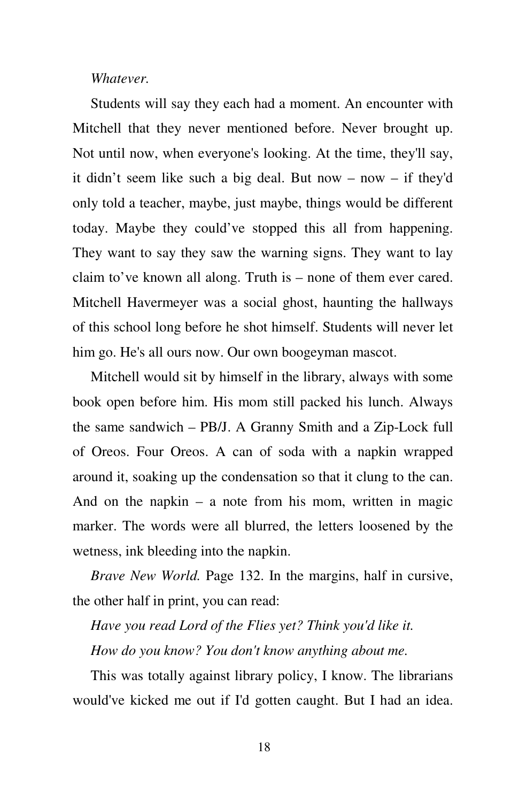#### *Whatever.*

 Students will say they each had a moment. An encounter with Mitchell that they never mentioned before. Never brought up. Not until now, when everyone's looking. At the time, they'll say, it didn't seem like such a big deal. But now – now – if they'd only told a teacher, maybe, just maybe, things would be different today. Maybe they could've stopped this all from happening. They want to say they saw the warning signs. They want to lay claim to've known all along. Truth is – none of them ever cared. Mitchell Havermeyer was a social ghost, haunting the hallways of this school long before he shot himself. Students will never let him go. He's all ours now. Our own boogeyman mascot.

 Mitchell would sit by himself in the library, always with some book open before him. His mom still packed his lunch. Always the same sandwich – PB/J. A Granny Smith and a Zip-Lock full of Oreos. Four Oreos. A can of soda with a napkin wrapped around it, soaking up the condensation so that it clung to the can. And on the napkin  $-$  a note from his mom, written in magic marker. The words were all blurred, the letters loosened by the wetness, ink bleeding into the napkin.

 *Brave New World.* Page 132. In the margins, half in cursive, the other half in print, you can read:

 *Have you read Lord of the Flies yet? Think you'd like it.* 

 *How do you know? You don't know anything about me.* 

 This was totally against library policy, I know. The librarians would've kicked me out if I'd gotten caught. But I had an idea.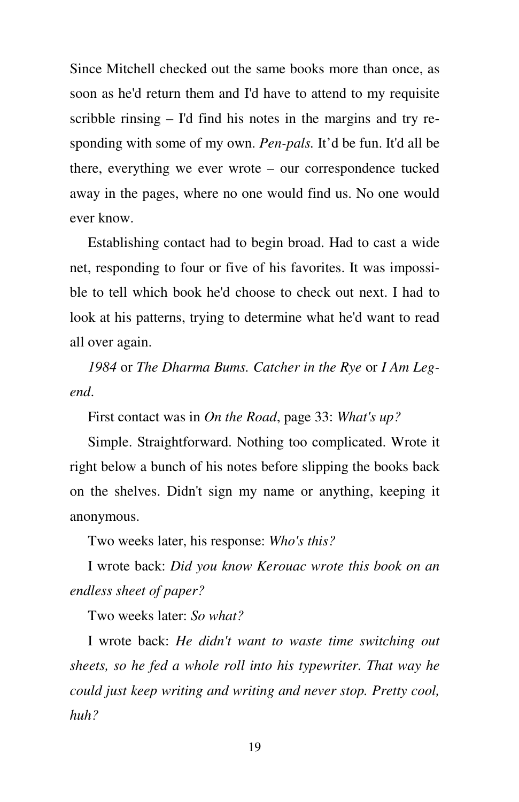Since Mitchell checked out the same books more than once, as soon as he'd return them and I'd have to attend to my requisite scribble rinsing – I'd find his notes in the margins and try responding with some of my own. *Pen-pals.* It'd be fun. It'd all be there, everything we ever wrote – our correspondence tucked away in the pages, where no one would find us. No one would ever know.

 Establishing contact had to begin broad. Had to cast a wide net, responding to four or five of his favorites. It was impossible to tell which book he'd choose to check out next. I had to look at his patterns, trying to determine what he'd want to read all over again.

 *1984* or *The Dharma Bums. Catcher in the Rye* or *I Am Legend*.

First contact was in *On the Road*, page 33: *What's up?*

 Simple. Straightforward. Nothing too complicated. Wrote it right below a bunch of his notes before slipping the books back on the shelves. Didn't sign my name or anything, keeping it anonymous.

Two weeks later, his response: *Who's this?* 

I wrote back: *Did you know Kerouac wrote this book on an endless sheet of paper?* 

Two weeks later: *So what?* 

I wrote back: *He didn't want to waste time switching out sheets, so he fed a whole roll into his typewriter. That way he could just keep writing and writing and never stop. Pretty cool, huh?*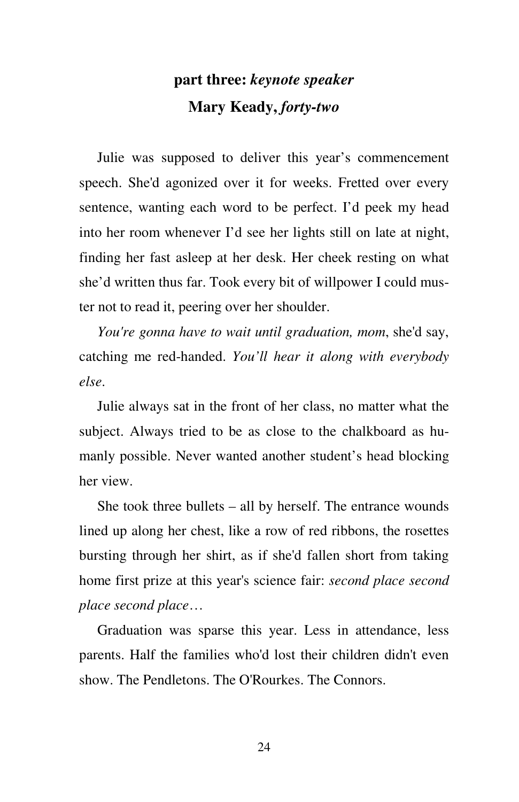## **part three:** *keynote speaker* **Mary Keady,** *forty-two*

 Julie was supposed to deliver this year's commencement speech. She'd agonized over it for weeks. Fretted over every sentence, wanting each word to be perfect. I'd peek my head into her room whenever I'd see her lights still on late at night, finding her fast asleep at her desk. Her cheek resting on what she'd written thus far. Took every bit of willpower I could muster not to read it, peering over her shoulder.

 *You're gonna have to wait until graduation, mom*, she'd say, catching me red-handed. *You'll hear it along with everybody else*.

 Julie always sat in the front of her class, no matter what the subject. Always tried to be as close to the chalkboard as humanly possible. Never wanted another student's head blocking her view.

 She took three bullets – all by herself. The entrance wounds lined up along her chest, like a row of red ribbons, the rosettes bursting through her shirt, as if she'd fallen short from taking home first prize at this year's science fair: *second place second place second place*…

 Graduation was sparse this year. Less in attendance, less parents. Half the families who'd lost their children didn't even show. The Pendletons. The O'Rourkes. The Connors.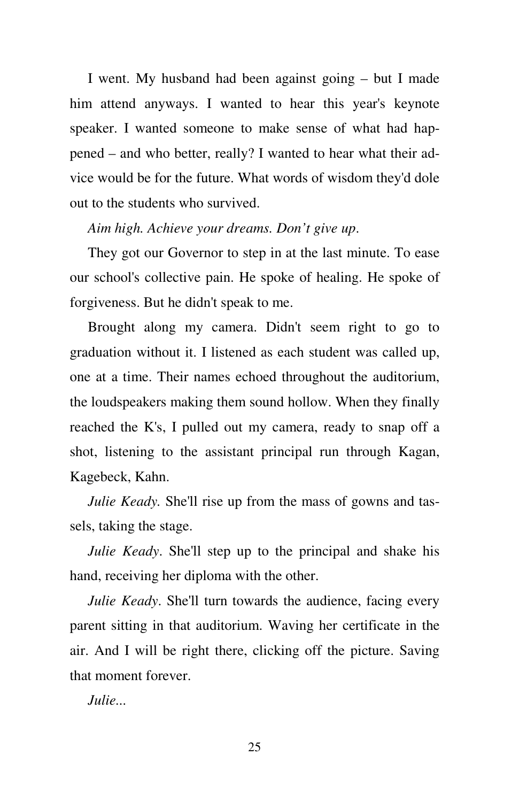I went. My husband had been against going – but I made him attend anyways. I wanted to hear this year's keynote speaker. I wanted someone to make sense of what had happened – and who better, really? I wanted to hear what their advice would be for the future. What words of wisdom they'd dole out to the students who survived.

#### *Aim high. Achieve your dreams. Don't give up*.

 They got our Governor to step in at the last minute. To ease our school's collective pain. He spoke of healing. He spoke of forgiveness. But he didn't speak to me.

 Brought along my camera. Didn't seem right to go to graduation without it. I listened as each student was called up, one at a time. Their names echoed throughout the auditorium, the loudspeakers making them sound hollow. When they finally reached the K's, I pulled out my camera, ready to snap off a shot, listening to the assistant principal run through Kagan, Kagebeck, Kahn.

*Julie Keady.* She'll rise up from the mass of gowns and tassels, taking the stage.

 *Julie Keady*. She'll step up to the principal and shake his hand, receiving her diploma with the other.

 *Julie Keady*. She'll turn towards the audience, facing every parent sitting in that auditorium. Waving her certificate in the air. And I will be right there, clicking off the picture. Saving that moment forever.

*Julie...* 

25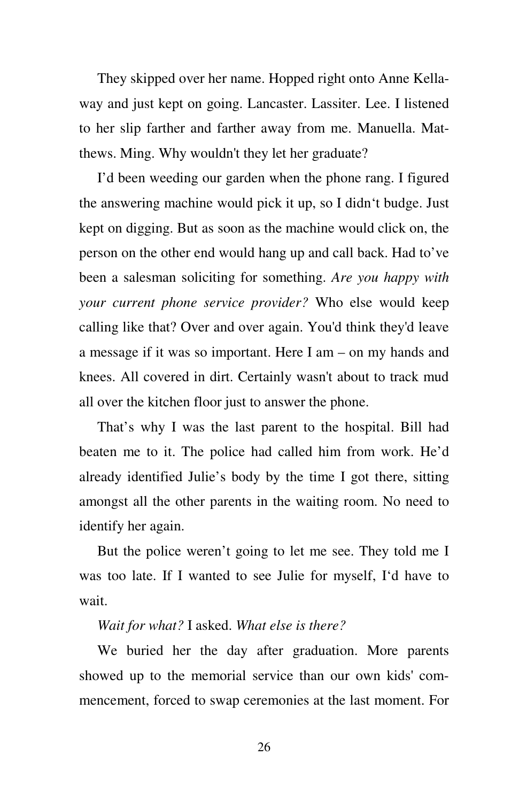They skipped over her name. Hopped right onto Anne Kellaway and just kept on going. Lancaster. Lassiter. Lee. I listened to her slip farther and farther away from me. Manuella. Matthews. Ming. Why wouldn't they let her graduate?

 I'd been weeding our garden when the phone rang. I figured the answering machine would pick it up, so I didn't budge. Just kept on digging. But as soon as the machine would click on, the person on the other end would hang up and call back. Had to've been a salesman soliciting for something. *Are you happy with your current phone service provider?* Who else would keep calling like that? Over and over again. You'd think they'd leave a message if it was so important. Here I am – on my hands and knees. All covered in dirt. Certainly wasn't about to track mud all over the kitchen floor just to answer the phone.

 That's why I was the last parent to the hospital. Bill had beaten me to it. The police had called him from work. He'd already identified Julie's body by the time I got there, sitting amongst all the other parents in the waiting room. No need to identify her again.

 But the police weren't going to let me see. They told me I was too late. If I wanted to see Julie for myself, I'd have to wait.

#### *Wait for what?* I asked. *What else is there?*

 We buried her the day after graduation. More parents showed up to the memorial service than our own kids' commencement, forced to swap ceremonies at the last moment. For